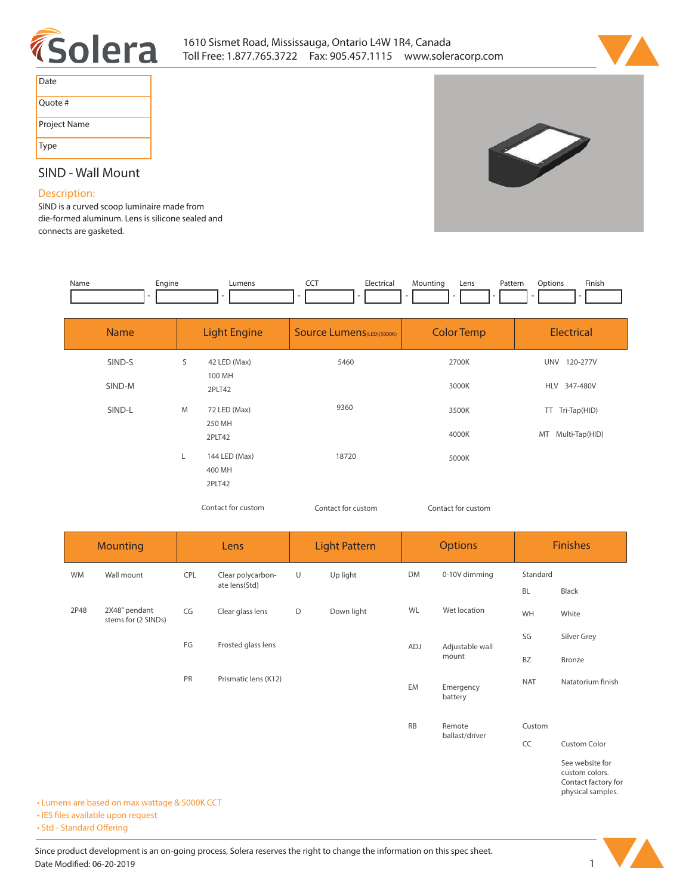



S

| Date         |
|--------------|
| Quote #      |
| Project Name |
| Type         |

# **SIND - Wall Mount**

## **Description:**

**SIND is a curved scoop luminaire made from die-formed aluminum. Lens is silicone sealed and connects are gasketed.** 

| Name | Enaine | umens_ | --- | Electric <sup>-</sup> | Mountina | Lens | Pattern | )ptions | Finish |
|------|--------|--------|-----|-----------------------|----------|------|---------|---------|--------|
|      |        |        |     |                       |          |      |         |         |        |

| <b>Name</b> | <b>Light Engine</b> |                                   | <b>Source Lumens</b> (LED)(5000K) | <b>Color Temp</b>  | <b>Electrical</b>  |  |  |
|-------------|---------------------|-----------------------------------|-----------------------------------|--------------------|--------------------|--|--|
| SIND-S      | S                   | 42 LED (Max)                      | 5460                              | 2700K              | UNV 120-277V       |  |  |
| SIND-M      |                     | 100 MH<br>2PLT42                  |                                   | 3000K              | HLV 347-480V       |  |  |
| SIND-L      | M                   | 72 LED (Max)                      | 9360                              | 3500K              | Tri-Tap(HID)<br>TT |  |  |
|             |                     | 250 MH<br>2PLT42                  |                                   | 4000K              | MT Multi-Tap(HID)  |  |  |
|             | L                   | 144 LED (Max)<br>400 MH<br>2PLT42 | 18720                             | 5000K              |                    |  |  |
|             |                     | Contact for custom                | Contact for custom                | Contact for custom |                    |  |  |

|           | <b>Mounting</b>                      |     | Lens                               |   | <b>Light Pattern</b> | <b>Options</b> |                      | <b>Finishes</b> |                                                                               |
|-----------|--------------------------------------|-----|------------------------------------|---|----------------------|----------------|----------------------|-----------------|-------------------------------------------------------------------------------|
| <b>WM</b> | Wall mount                           | CPL | Clear polycarbon-<br>ate lens(Std) | U | Up light             | DM             | 0-10V dimming        | Standard        |                                                                               |
|           |                                      |     |                                    |   |                      |                |                      | <b>BL</b>       | Black                                                                         |
| 2P48      | 2X48" pendant<br>stems for (2 SINDs) | CG  | Clear glass lens                   | D | Down light           | WL             | Wet location         | WH              | White                                                                         |
|           |                                      | FG  | Frosted glass lens                 |   |                      | ADJ            | Adjustable wall      | SG              | Silver Grey                                                                   |
|           |                                      |     |                                    |   |                      |                | mount                | <b>BZ</b>       | Bronze                                                                        |
|           |                                      | PR  | Prismatic lens (K12)               |   |                      | EM             | Emergency<br>battery | <b>NAT</b>      | Natatorium finish                                                             |
|           |                                      |     |                                    |   |                      | <b>RB</b>      | Remote               | Custom          |                                                                               |
|           |                                      |     |                                    |   |                      |                | ballast/driver       | CC              | Custom Color                                                                  |
|           |                                      |     |                                    |   |                      |                |                      |                 | See website for<br>custom colors.<br>Contact factory for<br>physical samples. |

**• Lumens are based on max wattage & 5000K CCT**

**• IES files available upon request** 

• Std - Standard Offering

Since product development is an on-going process, Solera reserves the right to change the information on this spec sheet. **Date Modified: 06-20-2019** 1